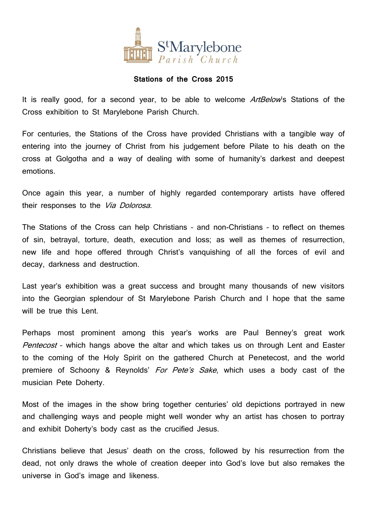

## **Stations of the Cross 2015**

It is really good, for a second year, to be able to welcome ArtBelow's Stations of the Cross exhibition to St Marylebone Parish Church.

For centuries, the Stations of the Cross have provided Christians with a tangible way of entering into the journey of Christ from his judgement before Pilate to his death on the cross at Golgotha and a way of dealing with some of humanity's darkest and deepest emotions.

Once again this year, a number of highly regarded contemporary artists have offered their responses to the Via Dolorosa.

The Stations of the Cross can help Christians – and non-Christians – to reflect on themes of sin, betrayal, torture, death, execution and loss; as well as themes of resurrection, new life and hope offered through Christ's vanquishing of all the forces of evil and decay, darkness and destruction.

Last year's exhibition was a great success and brought many thousands of new visitors into the Georgian splendour of St Marylebone Parish Church and I hope that the same will be true this Lent.

Perhaps most prominent among this year's works are Paul Benney's great work Pentecost - which hangs above the altar and which takes us on through Lent and Easter to the coming of the Holy Spirit on the gathered Church at Penetecost, and the world premiere of Schoony & Reynolds' For Pete's Sake, which uses a body cast of the musician Pete Doherty.

Most of the images in the show bring together centuries' old depictions portrayed in new and challenging ways and people might well wonder why an artist has chosen to portray and exhibit Doherty's body cast as the crucified Jesus.

Christians believe that Jesus' death on the cross, followed by his resurrection from the dead, not only draws the whole of creation deeper into God's love but also remakes the universe in God's image and likeness.